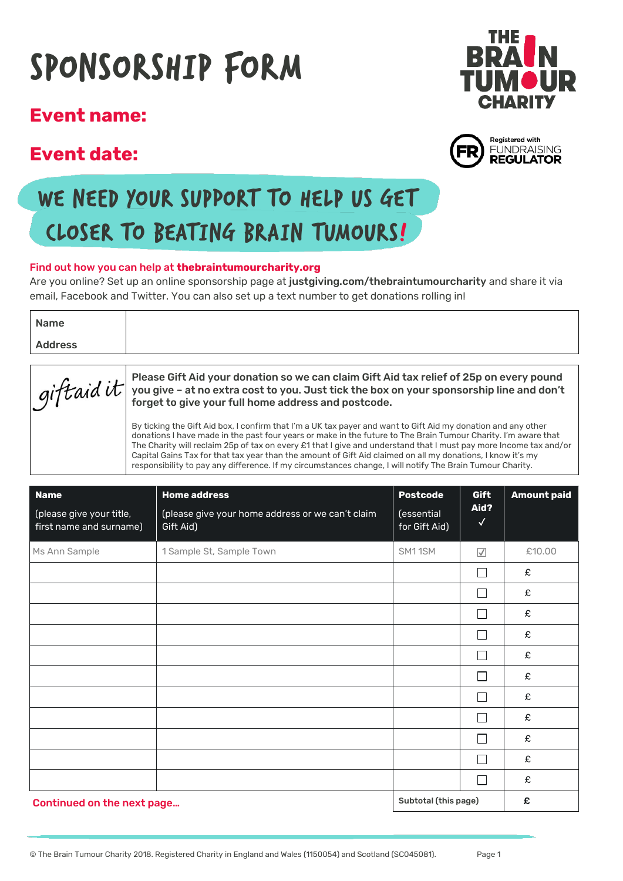# SponSorShip form

### **Event name:**

## **Event date:**





## WE NEED YOUR SUPPORT TO HELP US GET cloSer to beating brain tumourS!

#### Find out how you can help at **thebraintumourcharity.org**

Are you online? Set up an online sponsorship page at justgiving.com/thebraintumourcharity and share it via email, Facebook and Twitter. You can also set up a text number to get donations rolling in!

| Name           |  |
|----------------|--|
| <b>Address</b> |  |
|                |  |

| gift aid it suppose Gift Aid your donation so we can claim Gift Aid tax relief of 25p on every pound<br>gift aid it was used to you. Just tick the box on your sponsorship line and don't<br>forget to give your full home address and postcode.                                                                                                                                                                                                                                                                                                                                 |
|----------------------------------------------------------------------------------------------------------------------------------------------------------------------------------------------------------------------------------------------------------------------------------------------------------------------------------------------------------------------------------------------------------------------------------------------------------------------------------------------------------------------------------------------------------------------------------|
| By ticking the Gift Aid box, I confirm that I'm a UK tax payer and want to Gift Aid my donation and any other<br>donations I have made in the past four years or make in the future to The Brain Tumour Charity. I'm aware that<br>The Charity will reclaim 25p of tax on every £1 that I give and understand that I must pay more Income tax and/or<br>Capital Gains Tax for that tax year than the amount of Gift Aid claimed on all my donations, I know it's my<br>responsibility to pay any difference. If my circumstances change, I will notify The Brain Tumour Charity. |

| <b>Name</b>                                         | <b>Home address</b>                                           | <b>Postcode</b>             | Gift                     | <b>Amount paid</b> |
|-----------------------------------------------------|---------------------------------------------------------------|-----------------------------|--------------------------|--------------------|
| (please give your title,<br>first name and surname) | (please give your home address or we can't claim<br>Gift Aid) | (essential<br>for Gift Aid) | Aid?<br>$\checkmark$     |                    |
| Ms Ann Sample                                       | 1 Sample St, Sample Town                                      | SM11SM                      | $\overline{\vee}$        | £10.00             |
|                                                     |                                                               |                             | Г                        | £                  |
|                                                     |                                                               |                             | $\Box$                   | £                  |
|                                                     |                                                               |                             | L                        | £                  |
|                                                     |                                                               |                             | $\mathbf{L}$             | £                  |
|                                                     |                                                               |                             | П                        | £                  |
|                                                     |                                                               |                             | Г                        | £                  |
|                                                     |                                                               |                             | L                        | £                  |
|                                                     |                                                               |                             | $\overline{\phantom{0}}$ | £                  |
|                                                     |                                                               |                             | L                        | £                  |
|                                                     |                                                               |                             | П                        | £                  |
|                                                     |                                                               |                             | Г                        | £                  |
| Continued on the next page                          |                                                               | Subtotal (this page)        |                          | £                  |